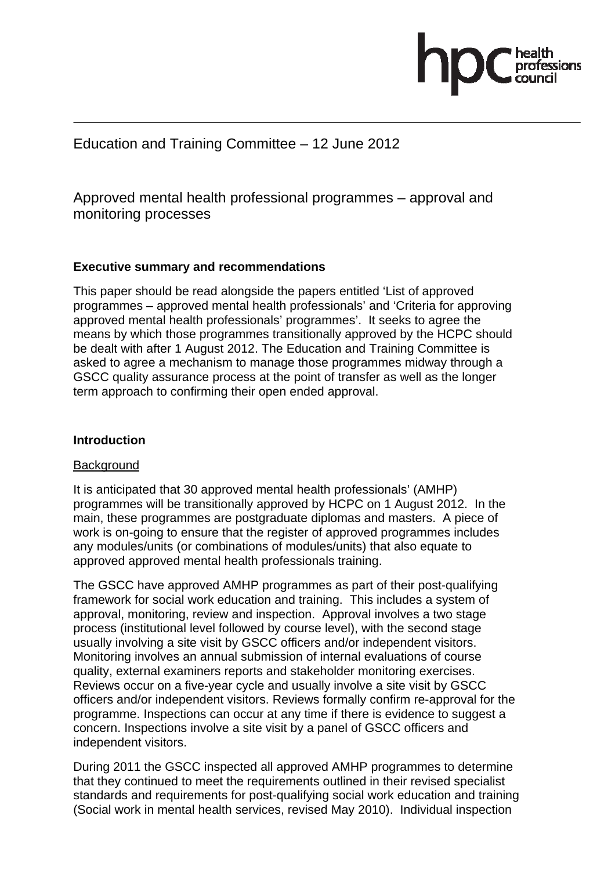

# Education and Training Committee – 12 June 2012

Approved mental health professional programmes – approval and monitoring processes

### **Executive summary and recommendations**

This paper should be read alongside the papers entitled 'List of approved programmes – approved mental health professionals' and 'Criteria for approving approved mental health professionals' programmes'. It seeks to agree the means by which those programmes transitionally approved by the HCPC should be dealt with after 1 August 2012. The Education and Training Committee is asked to agree a mechanism to manage those programmes midway through a GSCC quality assurance process at the point of transfer as well as the longer term approach to confirming their open ended approval.

#### **Introduction**

#### **Background**

It is anticipated that 30 approved mental health professionals' (AMHP) programmes will be transitionally approved by HCPC on 1 August 2012. In the main, these programmes are postgraduate diplomas and masters. A piece of work is on-going to ensure that the register of approved programmes includes any modules/units (or combinations of modules/units) that also equate to approved approved mental health professionals training.

The GSCC have approved AMHP programmes as part of their post-qualifying framework for social work education and training. This includes a system of approval, monitoring, review and inspection. Approval involves a two stage process (institutional level followed by course level), with the second stage usually involving a site visit by GSCC officers and/or independent visitors. Monitoring involves an annual submission of internal evaluations of course quality, external examiners reports and stakeholder monitoring exercises. Reviews occur on a five-year cycle and usually involve a site visit by GSCC officers and/or independent visitors. Reviews formally confirm re-approval for the programme. Inspections can occur at any time if there is evidence to suggest a concern. Inspections involve a site visit by a panel of GSCC officers and independent visitors.

During 2011 the GSCC inspected all approved AMHP programmes to determine that they continued to meet the requirements outlined in their revised specialist standards and requirements for post-qualifying social work education and training (Social work in mental health services, revised May 2010). Individual inspection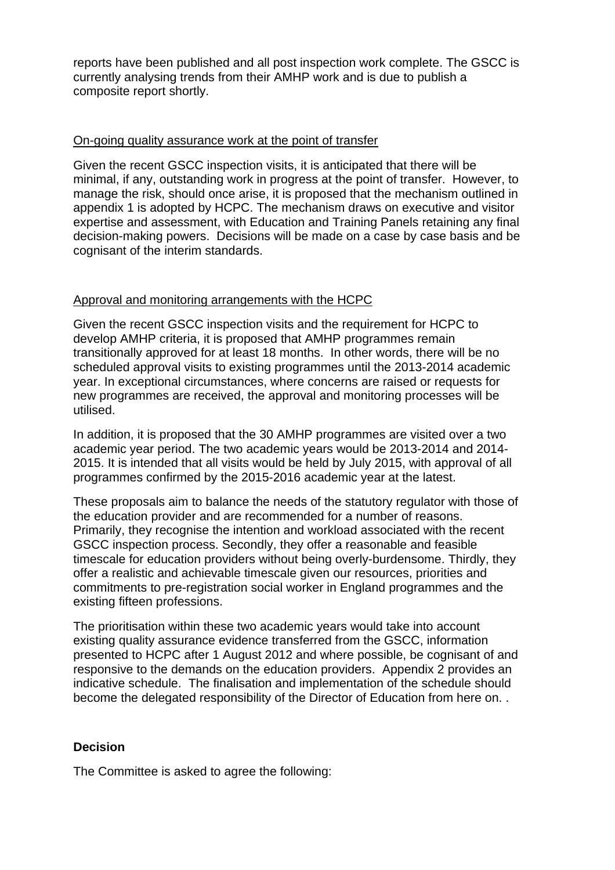reports have been published and all post inspection work complete. The GSCC is currently analysing trends from their AMHP work and is due to publish a composite report shortly.

#### On-going quality assurance work at the point of transfer

Given the recent GSCC inspection visits, it is anticipated that there will be minimal, if any, outstanding work in progress at the point of transfer. However, to manage the risk, should once arise, it is proposed that the mechanism outlined in appendix 1 is adopted by HCPC. The mechanism draws on executive and visitor expertise and assessment, with Education and Training Panels retaining any final decision-making powers. Decisions will be made on a case by case basis and be cognisant of the interim standards.

#### Approval and monitoring arrangements with the HCPC

Given the recent GSCC inspection visits and the requirement for HCPC to develop AMHP criteria, it is proposed that AMHP programmes remain transitionally approved for at least 18 months. In other words, there will be no scheduled approval visits to existing programmes until the 2013-2014 academic year. In exceptional circumstances, where concerns are raised or requests for new programmes are received, the approval and monitoring processes will be utilised.

In addition, it is proposed that the 30 AMHP programmes are visited over a two academic year period. The two academic years would be 2013-2014 and 2014- 2015. It is intended that all visits would be held by July 2015, with approval of all programmes confirmed by the 2015-2016 academic year at the latest.

These proposals aim to balance the needs of the statutory regulator with those of the education provider and are recommended for a number of reasons. Primarily, they recognise the intention and workload associated with the recent GSCC inspection process. Secondly, they offer a reasonable and feasible timescale for education providers without being overly-burdensome. Thirdly, they offer a realistic and achievable timescale given our resources, priorities and commitments to pre-registration social worker in England programmes and the existing fifteen professions.

The prioritisation within these two academic years would take into account existing quality assurance evidence transferred from the GSCC, information presented to HCPC after 1 August 2012 and where possible, be cognisant of and responsive to the demands on the education providers. Appendix 2 provides an indicative schedule. The finalisation and implementation of the schedule should become the delegated responsibility of the Director of Education from here on. .

### **Decision**

The Committee is asked to agree the following: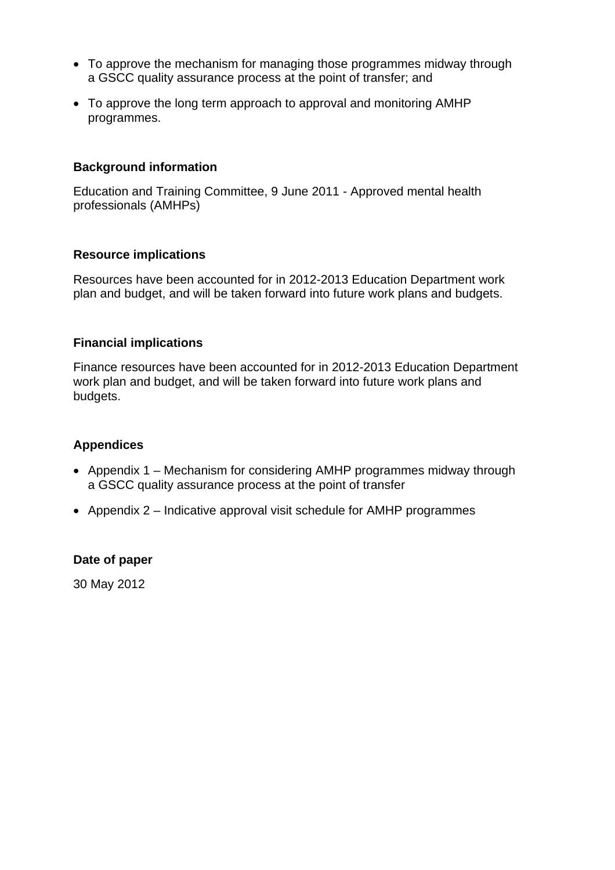- To approve the mechanism for managing those programmes midway through a GSCC quality assurance process at the point of transfer; and
- To approve the long term approach to approval and monitoring AMHP programmes.

## **Background information**

Education and Training Committee, 9 June 2011 - Approved mental health professionals (AMHPs)

### **Resource implications**

Resources have been accounted for in 2012-2013 Education Department work plan and budget, and will be taken forward into future work plans and budgets.

### **Financial implications**

Finance resources have been accounted for in 2012-2013 Education Department work plan and budget, and will be taken forward into future work plans and budgets.

### **Appendices**

- Appendix 1 Mechanism for considering AMHP programmes midway through a GSCC quality assurance process at the point of transfer
- Appendix 2 Indicative approval visit schedule for AMHP programmes

### **Date of paper**

30 May 2012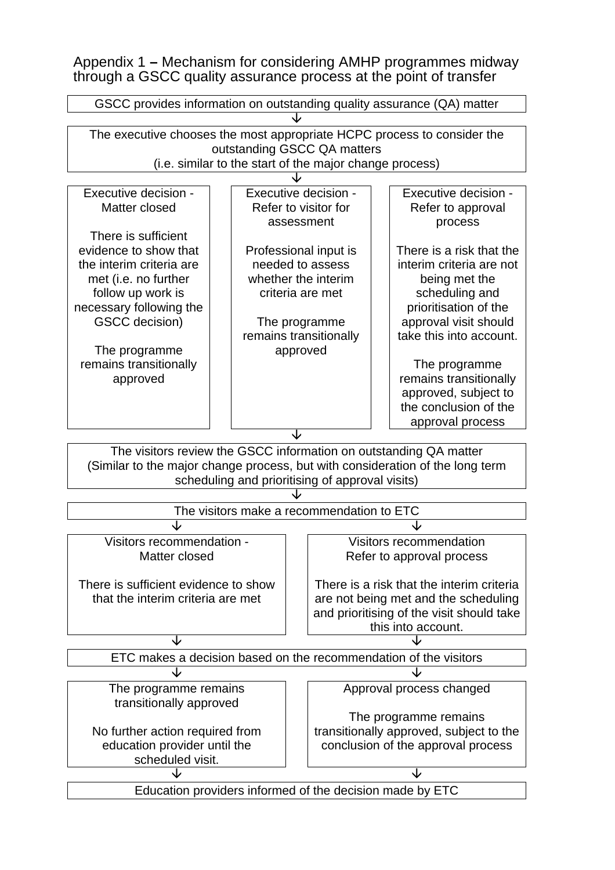Appendix 1 **–** Mechanism for considering AMHP programmes midway through a GSCC quality assurance process at the point of transfer